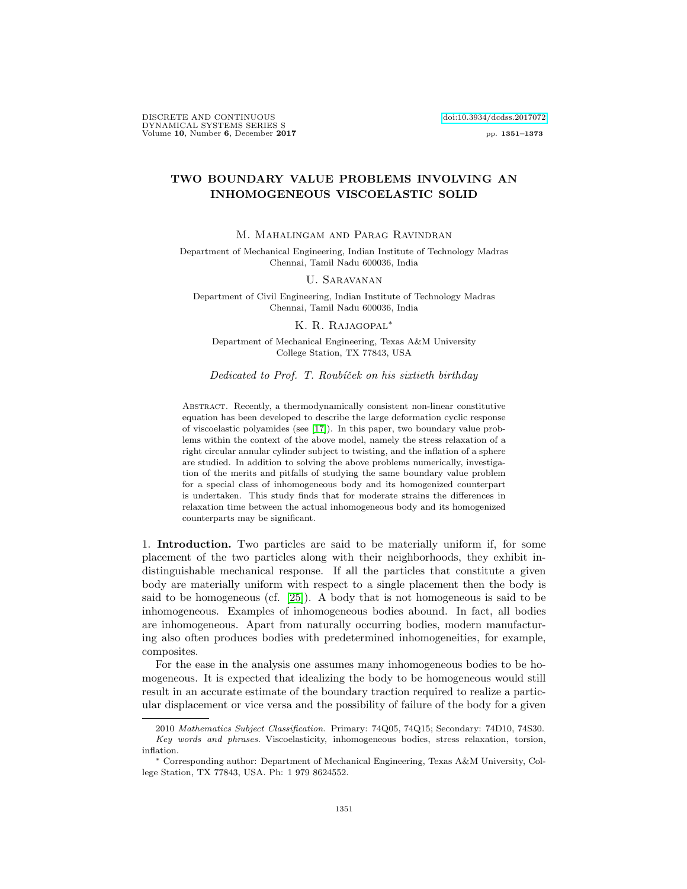DISCRETE AND CONTINUOUS [doi:10.3934/dcdss.2017072](http://dx.doi.org/10.3934/dcdss.2017072) DYNAMICAL SYSTEMS SERIES S Volume 10, Number 6, December 2017 pp. 1351–1373

# TWO BOUNDARY VALUE PROBLEMS INVOLVING AN INHOMOGENEOUS VISCOELASTIC SOLID

M. Mahalingam and Parag Ravindran

Department of Mechanical Engineering, Indian Institute of Technology Madras Chennai, Tamil Nadu 600036, India

## U. Saravanan

Department of Civil Engineering, Indian Institute of Technology Madras Chennai, Tamil Nadu 600036, India

## K. R. RAJAGOPAL<sup>\*</sup>

Department of Mechanical Engineering, Texas A&M University College Station, TX 77843, USA

#### Dedicated to Prof. T. Roubíček on his sixtieth birthday

Abstract. Recently, a thermodynamically consistent non-linear constitutive equation has been developed to describe the large deformation cyclic response of viscoelastic polyamides (see [\[17\]](#page-22-0)). In this paper, two boundary value problems within the context of the above model, namely the stress relaxation of a right circular annular cylinder subject to twisting, and the inflation of a sphere are studied. In addition to solving the above problems numerically, investigation of the merits and pitfalls of studying the same boundary value problem for a special class of inhomogeneous body and its homogenized counterpart is undertaken. This study finds that for moderate strains the differences in relaxation time between the actual inhomogeneous body and its homogenized counterparts may be significant.

1. Introduction. Two particles are said to be materially uniform if, for some placement of the two particles along with their neighborhoods, they exhibit indistinguishable mechanical response. If all the particles that constitute a given body are materially uniform with respect to a single placement then the body is said to be homogeneous (cf. [\[25\]](#page-22-1)). A body that is not homogeneous is said to be inhomogeneous. Examples of inhomogeneous bodies abound. In fact, all bodies are inhomogeneous. Apart from naturally occurring bodies, modern manufacturing also often produces bodies with predetermined inhomogeneities, for example, composites.

For the ease in the analysis one assumes many inhomogeneous bodies to be homogeneous. It is expected that idealizing the body to be homogeneous would still result in an accurate estimate of the boundary traction required to realize a particular displacement or vice versa and the possibility of failure of the body for a given

<sup>2010</sup> Mathematics Subject Classification. Primary: 74Q05, 74Q15; Secondary: 74D10, 74S30. Key words and phrases. Viscoelasticity, inhomogeneous bodies, stress relaxation, torsion, inflation.

<sup>∗</sup> Corresponding author: Department of Mechanical Engineering, Texas A&M University, College Station, TX 77843, USA. Ph: 1 979 8624552.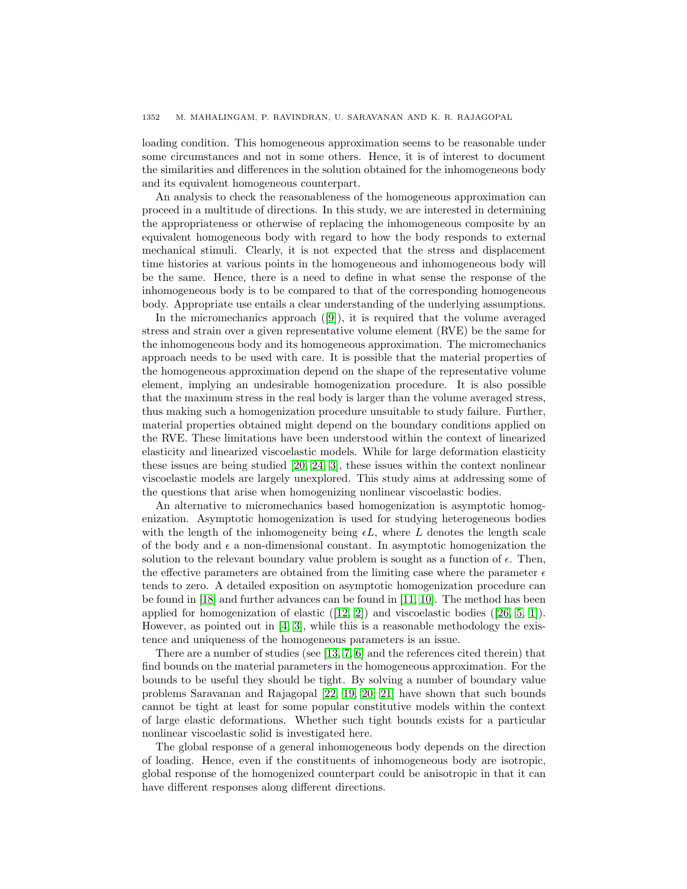loading condition. This homogeneous approximation seems to be reasonable under some circumstances and not in some others. Hence, it is of interest to document the similarities and differences in the solution obtained for the inhomogeneous body and its equivalent homogeneous counterpart.

An analysis to check the reasonableness of the homogeneous approximation can proceed in a multitude of directions. In this study, we are interested in determining the appropriateness or otherwise of replacing the inhomogeneous composite by an equivalent homogeneous body with regard to how the body responds to external mechanical stimuli. Clearly, it is not expected that the stress and displacement time histories at various points in the homogeneous and inhomogeneous body will be the same. Hence, there is a need to define in what sense the response of the inhomogeneous body is to be compared to that of the corresponding homogeneous body. Appropriate use entails a clear understanding of the underlying assumptions.

In the micromechanics approach ([\[9\]](#page-22-2)), it is required that the volume averaged stress and strain over a given representative volume element (RVE) be the same for the inhomogeneous body and its homogeneous approximation. The micromechanics approach needs to be used with care. It is possible that the material properties of the homogeneous approximation depend on the shape of the representative volume element, implying an undesirable homogenization procedure. It is also possible that the maximum stress in the real body is larger than the volume averaged stress, thus making such a homogenization procedure unsuitable to study failure. Further, material properties obtained might depend on the boundary conditions applied on the RVE. These limitations have been understood within the context of linearized elasticity and linearized viscoelastic models. While for large deformation elasticity these issues are being studied [\[20,](#page-22-3) [24,](#page-22-4) [3\]](#page-21-0), these issues within the context nonlinear viscoelastic models are largely unexplored. This study aims at addressing some of the questions that arise when homogenizing nonlinear viscoelastic bodies.

An alternative to micromechanics based homogenization is asymptotic homogenization. Asymptotic homogenization is used for studying heterogeneous bodies with the length of the inhomogeneity being  $\epsilon L$ , where L denotes the length scale of the body and  $\epsilon$  a non-dimensional constant. In asymptotic homogenization the solution to the relevant boundary value problem is sought as a function of  $\epsilon$ . Then, the effective parameters are obtained from the limiting case where the parameter  $\epsilon$ tends to zero. A detailed exposition on asymptotic homogenization procedure can be found in [\[18\]](#page-22-5) and further advances can be found in [\[11,](#page-22-6) [10\]](#page-22-7). The method has been applied for homogenization of elastic  $(12, 2)$  and viscoelastic bodies  $(26, 5, 1)$  $(26, 5, 1)$  $(26, 5, 1)$ . However, as pointed out in  $[4, 3]$  $[4, 3]$ , while this is a reasonable methodology the existence and uniqueness of the homogeneous parameters is an issue.

There are a number of studies (see [\[13,](#page-22-10) [7,](#page-21-5) [6\]](#page-21-6) and the references cited therein) that find bounds on the material parameters in the homogeneous approximation. For the bounds to be useful they should be tight. By solving a number of boundary value problems Saravanan and Rajagopal [\[22,](#page-22-11) [19,](#page-22-12) [20,](#page-22-3) [21\]](#page-22-13) have shown that such bounds cannot be tight at least for some popular constitutive models within the context of large elastic deformations. Whether such tight bounds exists for a particular nonlinear viscoelastic solid is investigated here.

The global response of a general inhomogeneous body depends on the direction of loading. Hence, even if the constituents of inhomogeneous body are isotropic, global response of the homogenized counterpart could be anisotropic in that it can have different responses along different directions.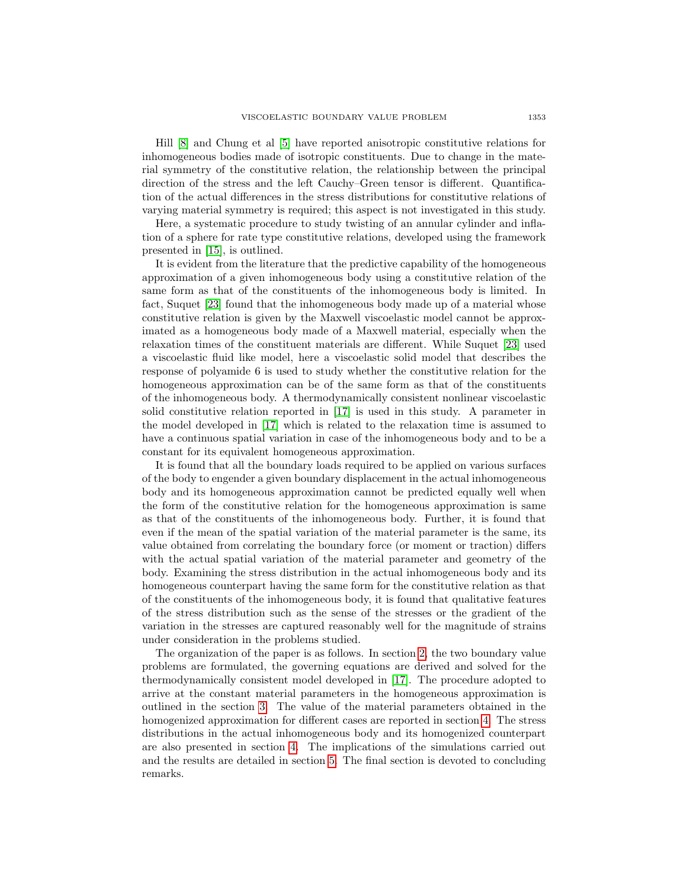Hill [\[8\]](#page-21-7) and Chung et al [\[5\]](#page-21-2) have reported anisotropic constitutive relations for inhomogeneous bodies made of isotropic constituents. Due to change in the material symmetry of the constitutive relation, the relationship between the principal direction of the stress and the left Cauchy–Green tensor is different. Quantification of the actual differences in the stress distributions for constitutive relations of varying material symmetry is required; this aspect is not investigated in this study.

Here, a systematic procedure to study twisting of an annular cylinder and inflation of a sphere for rate type constitutive relations, developed using the framework presented in [\[15\]](#page-22-14), is outlined.

It is evident from the literature that the predictive capability of the homogeneous approximation of a given inhomogeneous body using a constitutive relation of the same form as that of the constituents of the inhomogeneous body is limited. In fact, Suquet [\[23\]](#page-22-15) found that the inhomogeneous body made up of a material whose constitutive relation is given by the Maxwell viscoelastic model cannot be approximated as a homogeneous body made of a Maxwell material, especially when the relaxation times of the constituent materials are different. While Suquet [\[23\]](#page-22-15) used a viscoelastic fluid like model, here a viscoelastic solid model that describes the response of polyamide 6 is used to study whether the constitutive relation for the homogeneous approximation can be of the same form as that of the constituents of the inhomogeneous body. A thermodynamically consistent nonlinear viscoelastic solid constitutive relation reported in [\[17\]](#page-22-0) is used in this study. A parameter in the model developed in [\[17\]](#page-22-0) which is related to the relaxation time is assumed to have a continuous spatial variation in case of the inhomogeneous body and to be a constant for its equivalent homogeneous approximation.

It is found that all the boundary loads required to be applied on various surfaces of the body to engender a given boundary displacement in the actual inhomogeneous body and its homogeneous approximation cannot be predicted equally well when the form of the constitutive relation for the homogeneous approximation is same as that of the constituents of the inhomogeneous body. Further, it is found that even if the mean of the spatial variation of the material parameter is the same, its value obtained from correlating the boundary force (or moment or traction) differs with the actual spatial variation of the material parameter and geometry of the body. Examining the stress distribution in the actual inhomogeneous body and its homogeneous counterpart having the same form for the constitutive relation as that of the constituents of the inhomogeneous body, it is found that qualitative features of the stress distribution such as the sense of the stresses or the gradient of the variation in the stresses are captured reasonably well for the magnitude of strains under consideration in the problems studied.

<span id="page-2-0"></span>The organization of the paper is as follows. In section [2,](#page-2-0) the two boundary value problems are formulated, the governing equations are derived and solved for the thermodynamically consistent model developed in [\[17\]](#page-22-0). The procedure adopted to arrive at the constant material parameters in the homogeneous approximation is outlined in the section [3.](#page-9-0) The value of the material parameters obtained in the homogenized approximation for different cases are reported in section [4.](#page-11-0) The stress distributions in the actual inhomogeneous body and its homogenized counterpart are also presented in section [4.](#page-11-0) The implications of the simulations carried out and the results are detailed in section [5.](#page-20-0) The final section is devoted to concluding remarks.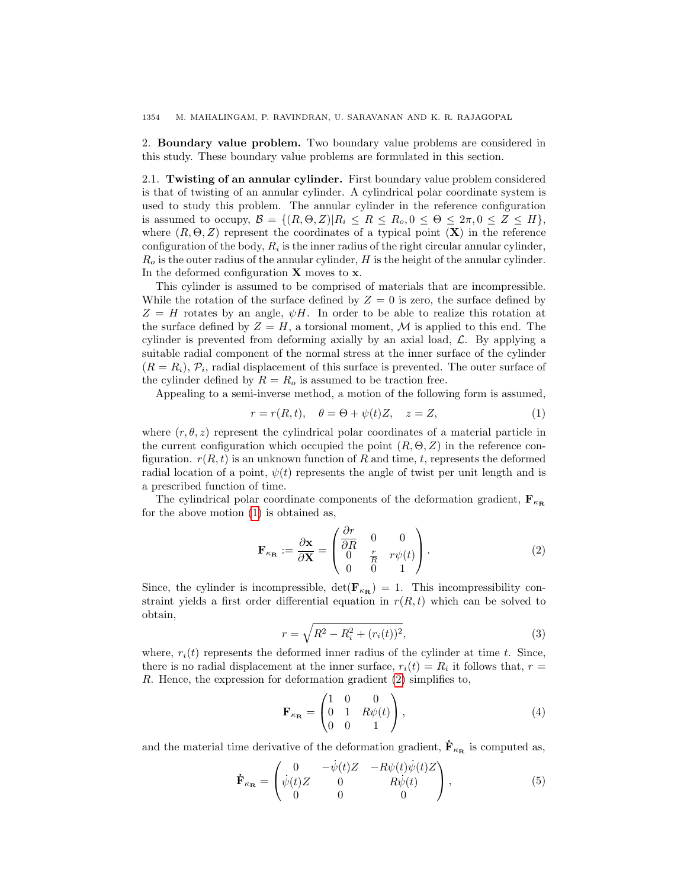1354 M. MAHALINGAM, P. RAVINDRAN, U. SARAVANAN AND K. R. RAJAGOPAL

2. Boundary value problem. Two boundary value problems are considered in this study. These boundary value problems are formulated in this section.

2.1. Twisting of an annular cylinder. First boundary value problem considered is that of twisting of an annular cylinder. A cylindrical polar coordinate system is used to study this problem. The annular cylinder in the reference configuration is assumed to occupy,  $\mathcal{B} = \{(R, \Theta, Z) | R_i \leq R \leq R_o, 0 \leq \Theta \leq 2\pi, 0 \leq Z \leq H\},\$ where  $(R, \Theta, Z)$  represent the coordinates of a typical point  $(X)$  in the reference configuration of the body,  $R_i$  is the inner radius of the right circular annular cylinder,  $R<sub>o</sub>$  is the outer radius of the annular cylinder, H is the height of the annular cylinder. In the deformed configuration  $X$  moves to  $x$ .

This cylinder is assumed to be comprised of materials that are incompressible. While the rotation of the surface defined by  $Z = 0$  is zero, the surface defined by  $Z = H$  rotates by an angle,  $\psi H$ . In order to be able to realize this rotation at the surface defined by  $Z = H$ , a torsional moment, M is applied to this end. The cylinder is prevented from deforming axially by an axial load,  $\mathcal{L}$ . By applying a suitable radial component of the normal stress at the inner surface of the cylinder  $(R = R_i)$ ,  $\mathcal{P}_i$ , radial displacement of this surface is prevented. The outer surface of the cylinder defined by  $R = R_o$  is assumed to be traction free.

Appealing to a semi-inverse method, a motion of the following form is assumed,

<span id="page-3-0"></span>
$$
r = r(R, t), \quad \theta = \Theta + \psi(t)Z, \quad z = Z,\tag{1}
$$

where  $(r, \theta, z)$  represent the cylindrical polar coordinates of a material particle in the current configuration which occupied the point  $(R, \Theta, Z)$  in the reference configuration.  $r(R, t)$  is an unknown function of R and time, t, represents the deformed radial location of a point,  $\psi(t)$  represents the angle of twist per unit length and is a prescribed function of time.

The cylindrical polar coordinate components of the deformation gradient,  $\mathbf{F}_{\kappa_{\mathbf{R}}}$ for the above motion [\(1\)](#page-3-0) is obtained as,

<span id="page-3-1"></span>
$$
\mathbf{F}_{\kappa_{\mathbf{R}}} := \frac{\partial \mathbf{x}}{\partial \mathbf{X}} = \begin{pmatrix} \frac{\partial r}{\partial R} & 0 & 0\\ 0 & \frac{r}{R} & r\psi(t) \\ 0 & 0 & 1 \end{pmatrix}.
$$
 (2)

Since, the cylinder is incompressible,  $\det(\mathbf{F}_{\kappa_{\mathbf{R}}}) = 1$ . This incompressibility constraint yields a first order differential equation in  $r(R, t)$  which can be solved to obtain,

$$
r = \sqrt{R^2 - R_i^2 + (r_i(t))^2},\tag{3}
$$

where,  $r_i(t)$  represents the deformed inner radius of the cylinder at time t. Since, there is no radial displacement at the inner surface,  $r_i(t) = R_i$  it follows that,  $r =$ R. Hence, the expression for deformation gradient [\(2\)](#page-3-1) simplifies to,

$$
\mathbf{F}_{\kappa_{\mathbf{R}}} = \begin{pmatrix} 1 & 0 & 0 \\ 0 & 1 & R\psi(t) \\ 0 & 0 & 1 \end{pmatrix}, \tag{4}
$$

and the material time derivative of the deformation gradient,  $\dot{\mathbf{F}}_{\kappa_{\mathbf{R}}}$  is computed as,

$$
\dot{\mathbf{F}}_{\kappa_{\mathbf{R}}} = \begin{pmatrix} 0 & -\dot{\psi}(t)Z & -R\psi(t)\dot{\psi}(t)Z \\ \dot{\psi}(t)Z & 0 & R\dot{\psi}(t) \\ 0 & 0 & 0 \end{pmatrix},
$$
\n(5)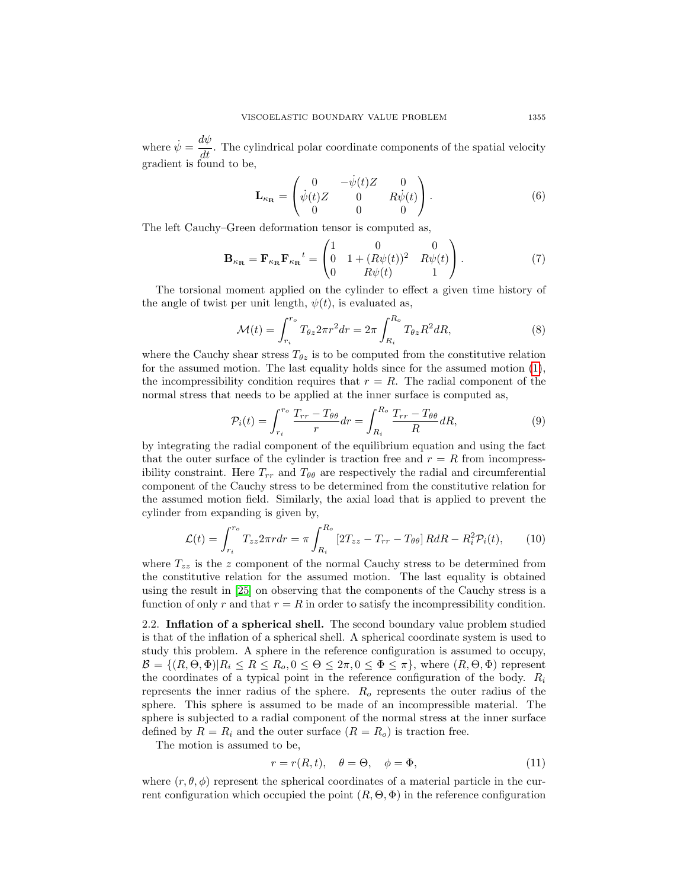where  $\dot{\psi} = \frac{d\psi}{dt}$ . The cylindrical polar coordinate components of the spatial velocity gradient is found to be,

$$
\mathbf{L}_{\kappa_{\mathbf{R}}} = \begin{pmatrix} 0 & -\dot{\psi}(t)Z & 0 \\ \dot{\psi}(t)Z & 0 & R\dot{\psi}(t) \\ 0 & 0 & 0 \end{pmatrix}.
$$
 (6)

The left Cauchy–Green deformation tensor is computed as,

<span id="page-4-0"></span>
$$
\mathbf{B}_{\kappa_{\mathbf{R}}} = \mathbf{F}_{\kappa_{\mathbf{R}}} \mathbf{F}_{\kappa_{\mathbf{R}}}{}^{t} = \begin{pmatrix} 1 & 0 & 0 \\ 0 & 1 + (R\psi(t))^{2} & R\psi(t) \\ 0 & R\psi(t) & 1 \end{pmatrix}.
$$
 (7)

The torsional moment applied on the cylinder to effect a given time history of the angle of twist per unit length,  $\psi(t)$ , is evaluated as,

<span id="page-4-1"></span>
$$
\mathcal{M}(t) = \int_{r_i}^{r_o} T_{\theta z} 2\pi r^2 dr = 2\pi \int_{R_i}^{R_o} T_{\theta z} R^2 dR,
$$
\n(8)

where the Cauchy shear stress  $T_{\theta z}$  is to be computed from the constitutive relation for the assumed motion. The last equality holds since for the assumed motion [\(1\)](#page-3-0), the incompressibility condition requires that  $r = R$ . The radial component of the normal stress that needs to be applied at the inner surface is computed as,

<span id="page-4-2"></span>
$$
\mathcal{P}_i(t) = \int_{r_i}^{r_o} \frac{T_{rr} - T_{\theta\theta}}{r} dr = \int_{R_i}^{R_o} \frac{T_{rr} - T_{\theta\theta}}{R} dR,\tag{9}
$$

by integrating the radial component of the equilibrium equation and using the fact that the outer surface of the cylinder is traction free and  $r = R$  from incompressibility constraint. Here  $T_{rr}$  and  $T_{\theta\theta}$  are respectively the radial and circumferential component of the Cauchy stress to be determined from the constitutive relation for the assumed motion field. Similarly, the axial load that is applied to prevent the cylinder from expanding is given by,

<span id="page-4-3"></span>
$$
\mathcal{L}(t) = \int_{r_i}^{r_o} T_{zz} 2\pi r dr = \pi \int_{R_i}^{R_o} \left[ 2T_{zz} - T_{rr} - T_{\theta\theta} \right] R dR - R_i^2 \mathcal{P}_i(t), \qquad (10)
$$

where  $T_{zz}$  is the z component of the normal Cauchy stress to be determined from the constitutive relation for the assumed motion. The last equality is obtained using the result in [\[25\]](#page-22-1) on observing that the components of the Cauchy stress is a function of only r and that  $r = R$  in order to satisfy the incompressibility condition.

2.2. Inflation of a spherical shell. The second boundary value problem studied is that of the inflation of a spherical shell. A spherical coordinate system is used to study this problem. A sphere in the reference configuration is assumed to occupy,  $\mathcal{B} = \{(R, \Theta, \Phi)| R_i \leq R \leq R_o, 0 \leq \Theta \leq 2\pi, 0 \leq \Phi \leq \pi\},\$  where  $(R, \Theta, \Phi)$  represent the coordinates of a typical point in the reference configuration of the body.  $R_i$ represents the inner radius of the sphere.  $R_o$  represents the outer radius of the sphere. This sphere is assumed to be made of an incompressible material. The sphere is subjected to a radial component of the normal stress at the inner surface defined by  $R = R_i$  and the outer surface  $(R = R_o)$  is traction free.

The motion is assumed to be,

$$
r = r(R, t), \quad \theta = \Theta, \quad \phi = \Phi,
$$
\n<sup>(11)</sup>

where  $(r, \theta, \phi)$  represent the spherical coordinates of a material particle in the current configuration which occupied the point  $(R, \Theta, \Phi)$  in the reference configuration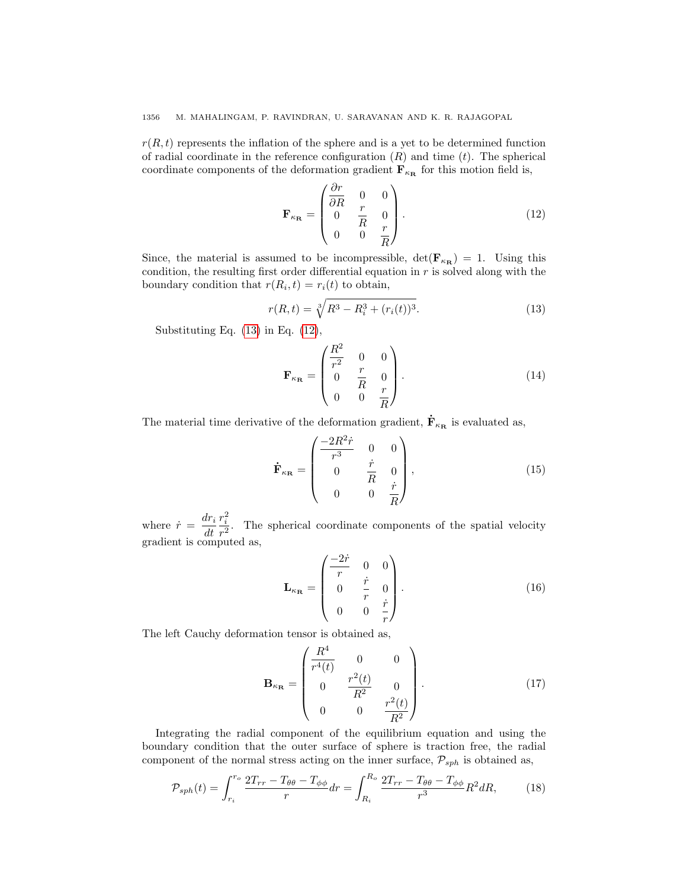$r(R, t)$  represents the inflation of the sphere and is a yet to be determined function of radial coordinate in the reference configuration  $(R)$  and time  $(t)$ . The spherical coordinate components of the deformation gradient  $\mathbf{F}_{\kappa_{\mathbf{R}}}$  for this motion field is,

<span id="page-5-1"></span>
$$
\mathbf{F}_{\kappa_{\mathbf{R}}} = \begin{pmatrix} \frac{\partial r}{\partial R} & 0 & 0 \\ 0 & \frac{r}{R} & 0 \\ 0 & 0 & \frac{r}{R} \end{pmatrix} . \tag{12}
$$

Since, the material is assumed to be incompressible,  $\det(\mathbf{F}_{\kappa_{\mathbf{R}}}) = 1$ . Using this condition, the resulting first order differential equation in  $r$  is solved along with the boundary condition that  $r(R_i, t) = r_i(t)$  to obtain,

<span id="page-5-0"></span>
$$
r(R,t) = \sqrt[3]{R^3 - R_i^3 + (r_i(t))^3}.
$$
\n(13)

Substituting Eq. [\(13\)](#page-5-0) in Eq. [\(12\)](#page-5-1),

$$
\mathbf{F}_{\kappa_{\mathbf{R}}} = \begin{pmatrix} \frac{R^2}{r^2} & 0 & 0\\ 0 & \frac{r}{R} & 0\\ 0 & 0 & \frac{r}{R} \end{pmatrix} . \tag{14}
$$

The material time derivative of the deformation gradient,  $\dot{\mathbf{F}}_{\kappa_{\mathbf{R}}}$  is evaluated as,

$$
\dot{\mathbf{F}}_{\kappa_{\mathbf{R}}} = \begin{pmatrix} \frac{-2R^2\dot{r}}{r^3} & 0 & 0\\ 0 & \frac{\dot{r}}{R} & 0\\ 0 & 0 & \frac{\dot{r}}{R} \end{pmatrix},
$$
(15)

where  $\dot{r} = \frac{dr_i}{dt}$ dt  $r_i^2$  $\frac{r_i}{r^2}$ . The spherical coordinate components of the spatial velocity gradient is computed as,

$$
\mathbf{L}_{\kappa_{\mathbf{R}}} = \begin{pmatrix} \frac{-2\dot{r}}{r} & 0 & 0\\ 0 & \frac{\dot{r}}{r} & 0\\ 0 & 0 & \frac{\dot{r}}{r} \end{pmatrix} . \tag{16}
$$

The left Cauchy deformation tensor is obtained as,

<span id="page-5-2"></span>
$$
\mathbf{B}_{\kappa_{\mathbf{R}}} = \begin{pmatrix} \frac{R^4}{r^4(t)} & 0 & 0\\ 0 & \frac{r^2(t)}{R^2} & 0\\ 0 & 0 & \frac{r^2(t)}{R^2} \end{pmatrix} . \tag{17}
$$

Integrating the radial component of the equilibrium equation and using the boundary condition that the outer surface of sphere is traction free, the radial component of the normal stress acting on the inner surface,  $\mathcal{P}_{sph}$  is obtained as,

<span id="page-5-3"></span>
$$
\mathcal{P}_{sph}(t) = \int_{r_i}^{r_o} \frac{2T_{rr} - T_{\theta\theta} - T_{\phi\phi}}{r} dr = \int_{R_i}^{R_o} \frac{2T_{rr} - T_{\theta\theta} - T_{\phi\phi}}{r^3} R^2 dR,\tag{18}
$$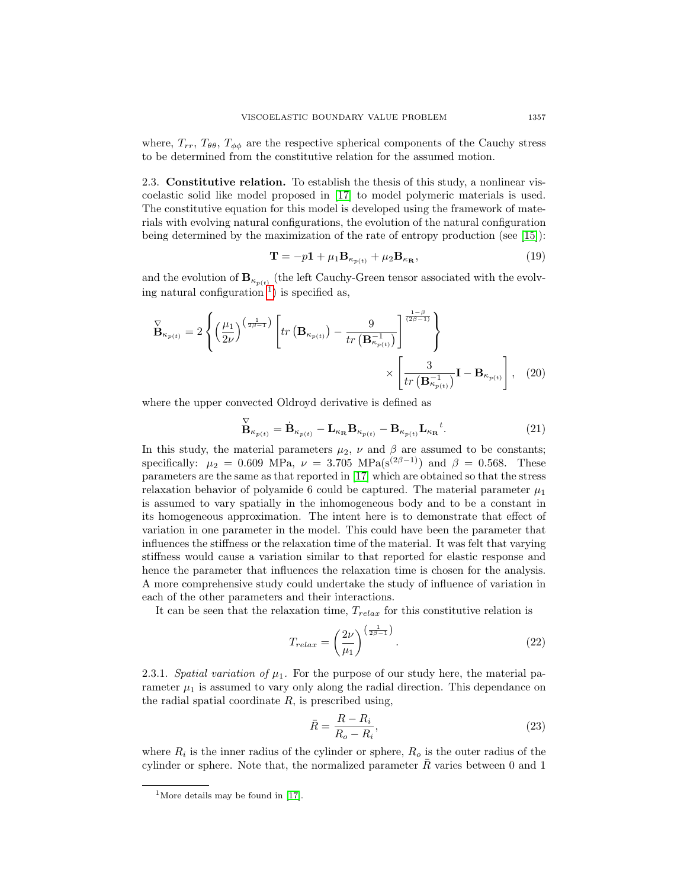where,  $T_{rr}$ ,  $T_{\theta\theta}$ ,  $T_{\phi\phi}$  are the respective spherical components of the Cauchy stress to be determined from the constitutive relation for the assumed motion.

2.3. Constitutive relation. To establish the thesis of this study, a nonlinear viscoelastic solid like model proposed in [\[17\]](#page-22-0) to model polymeric materials is used. The constitutive equation for this model is developed using the framework of materials with evolving natural configurations, the evolution of the natural configuration being determined by the maximization of the rate of entropy production (see [\[15\]](#page-22-14)):

<span id="page-6-3"></span><span id="page-6-2"></span>
$$
\mathbf{T} = -p\mathbf{1} + \mu_1 \mathbf{B}_{\kappa_{p(t)}} + \mu_2 \mathbf{B}_{\kappa_{\mathbf{R}}},\tag{19}
$$

and the evolution of  $B_{\kappa_{p(t)}}$  (the left Cauchy-Green tensor associated with the evolv-ing natural configuration<sup>[1](#page-6-0)</sup>) is specified as,

$$
\overrightarrow{\mathbf{B}}_{\kappa_{p(t)}} = 2 \left\{ \left( \frac{\mu_1}{2\nu} \right)^{\left( \frac{1}{2\beta - 1} \right)} \left[ tr \left( \mathbf{B}_{\kappa_{p(t)}} \right) - \frac{9}{tr \left( \mathbf{B}_{\kappa_{p(t)}}^{-1} \right)} \right]^{\frac{1 - \beta}{(2\beta - 1)}} \right\} \times \left[ \frac{3}{tr \left( \mathbf{B}_{\kappa_{p(t)}}^{-1} \right)} \mathbf{I} - \mathbf{B}_{\kappa_{p(t)}} \right], \quad (20)
$$

where the upper convected Oldroyd derivative is defined as

$$
\overset{\nabla}{\mathbf{B}}_{\kappa_{p(t)}} = \dot{\mathbf{B}}_{\kappa_{p(t)}} - \mathbf{L}_{\kappa_{\mathbf{R}}} \mathbf{B}_{\kappa_{p(t)}} - \mathbf{B}_{\kappa_{p(t)}} \mathbf{L}_{\kappa_{\mathbf{R}}}{}^{t}.
$$
\n(21)

In this study, the material parameters  $\mu_2$ ,  $\nu$  and  $\beta$  are assumed to be constants; specifically:  $\mu_2 = 0.609 \text{ MPa}, \nu = 3.705 \text{ MPa}(\text{s}^{(2\beta-1)}) \text{ and } \beta = 0.568. \text{ These}$ parameters are the same as that reported in [\[17\]](#page-22-0) which are obtained so that the stress relaxation behavior of polyamide 6 could be captured. The material parameter  $\mu_1$ is assumed to vary spatially in the inhomogeneous body and to be a constant in its homogeneous approximation. The intent here is to demonstrate that effect of variation in one parameter in the model. This could have been the parameter that influences the stiffness or the relaxation time of the material. It was felt that varying stiffness would cause a variation similar to that reported for elastic response and hence the parameter that influences the relaxation time is chosen for the analysis. A more comprehensive study could undertake the study of influence of variation in each of the other parameters and their interactions.

It can be seen that the relaxation time,  $T_{relax}$  for this constitutive relation is

<span id="page-6-1"></span>
$$
T_{relax} = \left(\frac{2\nu}{\mu_1}\right)^{\left(\frac{1}{2\beta - 1}\right)}.\tag{22}
$$

2.3.1. Spatial variation of  $\mu_1$ . For the purpose of our study here, the material parameter  $\mu_1$  is assumed to vary only along the radial direction. This dependance on the radial spatial coordinate  $R$ , is prescribed using,

$$
\bar{R} = \frac{R - R_i}{R_o - R_i},\tag{23}
$$

where  $R_i$  is the inner radius of the cylinder or sphere,  $R_o$  is the outer radius of the cylinder or sphere. Note that, the normalized parameter  $\overline{R}$  varies between 0 and 1

<span id="page-6-0"></span><sup>&</sup>lt;sup>1</sup>More details may be found in [\[17\]](#page-22-0).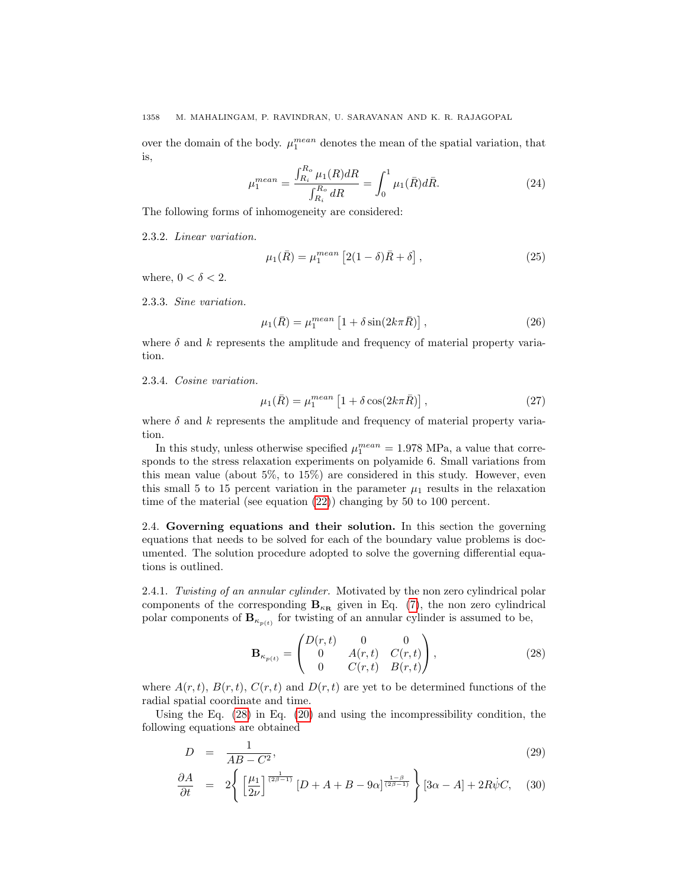over the domain of the body.  $\mu_1^{mean}$  denotes the mean of the spatial variation, that is,

$$
\mu_1^{mean} = \frac{\int_{R_i}^{R_o} \mu_1(R) dR}{\int_{R_i}^{R_o} dR} = \int_0^1 \mu_1(\bar{R}) d\bar{R}.
$$
 (24)

The following forms of inhomogeneity are considered:

2.3.2. Linear variation.

$$
\mu_1(\bar{R}) = \mu_1^{\text{mean}} \left[ 2(1 - \delta)\bar{R} + \delta \right],\tag{25}
$$

where,  $0 < \delta < 2$ .

2.3.3. Sine variation.

$$
\mu_1(\bar{R}) = \mu_1^{mean} \left[ 1 + \delta \sin(2k\pi \bar{R}) \right],\tag{26}
$$

where  $\delta$  and k represents the amplitude and frequency of material property variation.

2.3.4. Cosine variation.

$$
\mu_1(\bar{R}) = \mu_1^{mean} \left[ 1 + \delta \cos(2k\pi \bar{R}) \right],\tag{27}
$$

where  $\delta$  and  $k$  represents the amplitude and frequency of material property variation.

In this study, unless otherwise specified  $\mu_1^{mean} = 1.978 \text{ MPa}$ , a value that corresponds to the stress relaxation experiments on polyamide 6. Small variations from this mean value (about 5%, to 15%) are considered in this study. However, even this small 5 to 15 percent variation in the parameter  $\mu_1$  results in the relaxation time of the material (see equation [\(22\)](#page-6-1)) changing by 50 to 100 percent.

2.4. Governing equations and their solution. In this section the governing equations that needs to be solved for each of the boundary value problems is documented. The solution procedure adopted to solve the governing differential equations is outlined.

2.4.1. Twisting of an annular cylinder. Motivated by the non zero cylindrical polar components of the corresponding  $B_{\kappa_{\mathbf{R}}}$  given in Eq. [\(7\)](#page-4-0), the non zero cylindrical polar components of  $\mathbf{B}_{\kappa_{p(t)}}$  for twisting of an annular cylinder is assumed to be,

<span id="page-7-0"></span>
$$
\mathbf{B}_{\kappa_{p(t)}} = \begin{pmatrix} D(r,t) & 0 & 0 \\ 0 & A(r,t) & C(r,t) \\ 0 & C(r,t) & B(r,t) \end{pmatrix},
$$
(28)

where  $A(r, t)$ ,  $B(r, t)$ ,  $C(r, t)$  and  $D(r, t)$  are yet to be determined functions of the radial spatial coordinate and time.

Using the Eq. [\(28\)](#page-7-0) in Eq. [\(20\)](#page-6-2) and using the incompressibility condition, the following equations are obtained

<span id="page-7-1"></span>
$$
D = \frac{1}{AB - C^2},\tag{29}
$$

$$
\frac{\partial A}{\partial t} = 2 \left\{ \left[ \frac{\mu_1}{2\nu} \right]^{\frac{1}{(2\beta - 1)}} \left[ D + A + B - 9\alpha \right]^{\frac{1 - \beta}{(2\beta - 1)}} \right\} \left[ 3\alpha - A \right] + 2R\dot{\psi}C, \quad (30)
$$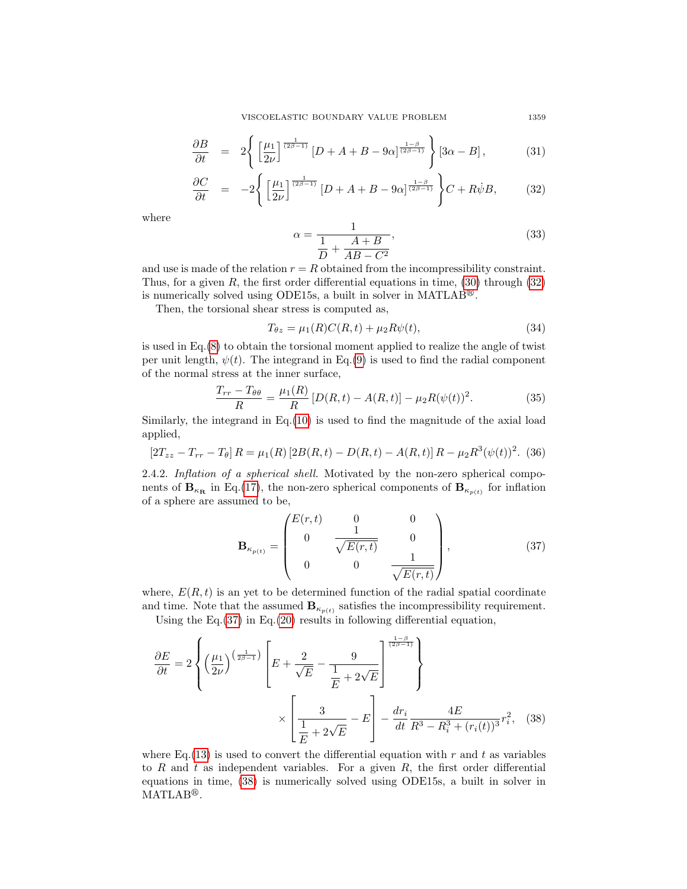VISCOELASTIC BOUNDARY VALUE PROBLEM 1359

<span id="page-8-0"></span>
$$
\frac{\partial B}{\partial t} = 2 \left\{ \left[ \frac{\mu_1}{2\nu} \right]^{\frac{1}{(2\beta - 1)}} \left[ D + A + B - 9\alpha \right]^{\frac{1 - \beta}{(2\beta - 1)}} \right\} \left[ 3\alpha - B \right],\tag{31}
$$

$$
\frac{\partial C}{\partial t} = -2 \left\{ \left[ \frac{\mu_1}{2\nu} \right]^{\frac{1}{(2\beta - 1)}} \left[ D + A + B - 9\alpha \right]^{\frac{1 - \beta}{(2\beta - 1)}} \right\} C + R\dot{\psi}B,\tag{32}
$$

where

$$
\alpha = \frac{1}{\frac{1}{D} + \frac{A+B}{AB - C^2}},\tag{33}
$$

and use is made of the relation  $r = R$  obtained from the incompressibility constraint. Thus, for a given R, the first order differential equations in time,  $(30)$  through  $(32)$ is numerically solved using ODE15s, a built in solver in MATLAB<sup>®</sup>.

Then, the torsional shear stress is computed as,

$$
T_{\theta z} = \mu_1(R)C(R,t) + \mu_2 R\psi(t),\tag{34}
$$

is used in  $Eq.(8)$  $Eq.(8)$  to obtain the torsional moment applied to realize the angle of twist per unit length,  $\psi(t)$ . The integrand in Eq.[\(9\)](#page-4-2) is used to find the radial component of the normal stress at the inner surface,

$$
\frac{T_{rr} - T_{\theta\theta}}{R} = \frac{\mu_1(R)}{R} \left[ D(R, t) - A(R, t) \right] - \mu_2 R(\psi(t))^2.
$$
 (35)

Similarly, the integrand in Eq.[\(10\)](#page-4-3) is used to find the magnitude of the axial load applied,

$$
[2T_{zz} - T_{rr} - T_{\theta}]R = \mu_1(R)[2B(R, t) - D(R, t) - A(R, t)]R - \mu_2 R^3(\psi(t))^2.
$$
 (36)

2.4.2. Inflation of a spherical shell. Motivated by the non-zero spherical components of  $\mathbf{B}_{\kappa_{\mathbf{R}}}$  in Eq.[\(17\)](#page-5-2), the non-zero spherical components of  $\mathbf{B}_{\kappa_{p(t)}}$  for inflation of a sphere are assumed to be,

<span id="page-8-2"></span><span id="page-8-1"></span>
$$
\mathbf{B}_{\kappa_{p(t)}} = \begin{pmatrix} E(r,t) & 0 & 0 \\ 0 & \frac{1}{\sqrt{E(r,t)}} & 0 \\ 0 & 0 & \frac{1}{\sqrt{E(r,t)}} \end{pmatrix}, \tag{37}
$$

where,  $E(R, t)$  is an yet to be determined function of the radial spatial coordinate and time. Note that the assumed  $\mathbf{B}_{\kappa_{p(t)}}$  satisfies the incompressibility requirement.

Using the  $Eq.(37)$  $Eq.(37)$  in  $Eq.(20)$  $Eq.(20)$  results in following differential equation,

$$
\frac{\partial E}{\partial t} = 2 \left\{ \left( \frac{\mu_1}{2\nu} \right)^{\left( \frac{1}{2\beta - 1} \right)} \left[ E + \frac{2}{\sqrt{E}} - \frac{9}{\frac{1}{E} + 2\sqrt{E}} \right] \right\}
$$

$$
\times \left[ \frac{3}{\frac{1}{E} + 2\sqrt{E}} - E \right] - \frac{dr_i}{dt} \frac{4E}{R^3 - R_i^3 + (r_i(t))^3} r_i^2, \quad (38)
$$

where Eq. [\(13\)](#page-5-0) is used to convert the differential equation with r and t as variables to R and t as independent variables. For a given R, the first order differential equations in time, [\(38\)](#page-8-2) is numerically solved using ODE15s, a built in solver in  $MATLAB<sup>®</sup>$ .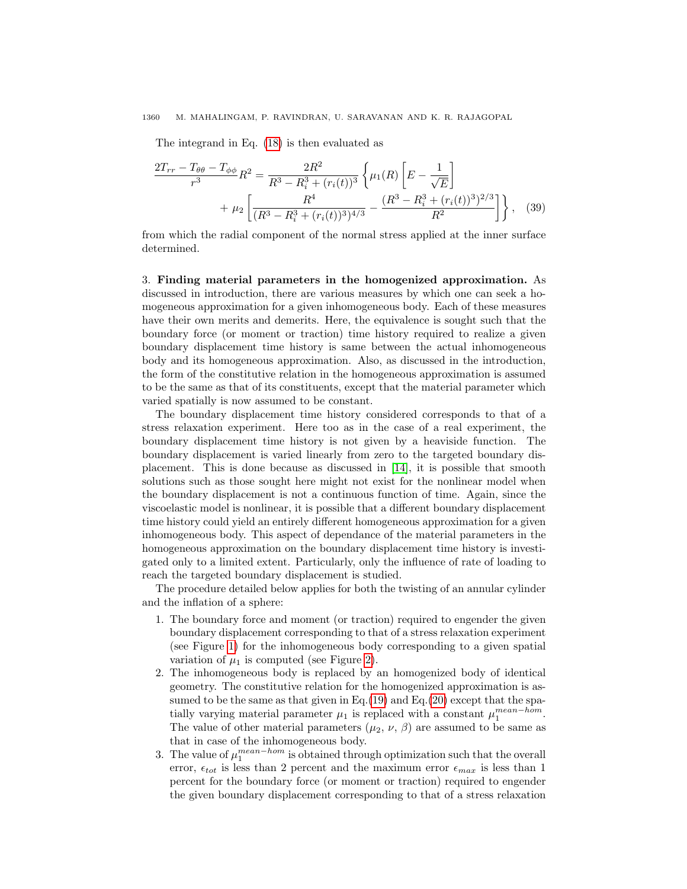# 1360 M. MAHALINGAM, P. RAVINDRAN, U. SARAVANAN AND K. R. RAJAGOPAL

The integrand in Eq. [\(18\)](#page-5-3) is then evaluated as

$$
\frac{2T_{rr} - T_{\theta\theta} - T_{\phi\phi}}{r^3} R^2 = \frac{2R^2}{R^3 - R_i^3 + (r_i(t))^3} \left\{ \mu_1(R) \left[ E - \frac{1}{\sqrt{E}} \right] + \mu_2 \left[ \frac{R^4}{(R^3 - R_i^3 + (r_i(t))^3)^{4/3}} - \frac{(R^3 - R_i^3 + (r_i(t))^3)^{2/3}}{R^2} \right] \right\}, \quad (39)
$$

from which the radial component of the normal stress applied at the inner surface determined.

<span id="page-9-0"></span>3. Finding material parameters in the homogenized approximation. As discussed in introduction, there are various measures by which one can seek a homogeneous approximation for a given inhomogeneous body. Each of these measures have their own merits and demerits. Here, the equivalence is sought such that the boundary force (or moment or traction) time history required to realize a given boundary displacement time history is same between the actual inhomogeneous body and its homogeneous approximation. Also, as discussed in the introduction, the form of the constitutive relation in the homogeneous approximation is assumed to be the same as that of its constituents, except that the material parameter which varied spatially is now assumed to be constant.

The boundary displacement time history considered corresponds to that of a stress relaxation experiment. Here too as in the case of a real experiment, the boundary displacement time history is not given by a heaviside function. The boundary displacement is varied linearly from zero to the targeted boundary displacement. This is done because as discussed in [\[14\]](#page-22-16), it is possible that smooth solutions such as those sought here might not exist for the nonlinear model when the boundary displacement is not a continuous function of time. Again, since the viscoelastic model is nonlinear, it is possible that a different boundary displacement time history could yield an entirely different homogeneous approximation for a given inhomogeneous body. This aspect of dependance of the material parameters in the homogeneous approximation on the boundary displacement time history is investigated only to a limited extent. Particularly, only the influence of rate of loading to reach the targeted boundary displacement is studied.

The procedure detailed below applies for both the twisting of an annular cylinder and the inflation of a sphere:

- 1. The boundary force and moment (or traction) required to engender the given boundary displacement corresponding to that of a stress relaxation experiment (see Figure [1\)](#page-10-0) for the inhomogeneous body corresponding to a given spatial variation of  $\mu_1$  is computed (see Figure [2\)](#page-10-1).
- 2. The inhomogeneous body is replaced by an homogenized body of identical geometry. The constitutive relation for the homogenized approximation is as-sumed to be the same as that given in Eq.[\(19\)](#page-6-3) and Eq.[\(20\)](#page-6-2) except that the spatially varying material parameter  $\mu_1$  is replaced with a constant  $\mu_1^{mean-hom}$ . The value of other material parameters  $(\mu_2, \nu, \beta)$  are assumed to be same as that in case of the inhomogeneous body.
- 3. The value of  $\mu_1^{mean-hom}$  is obtained through optimization such that the overall error,  $\epsilon_{tot}$  is less than 2 percent and the maximum error  $\epsilon_{max}$  is less than 1 percent for the boundary force (or moment or traction) required to engender the given boundary displacement corresponding to that of a stress relaxation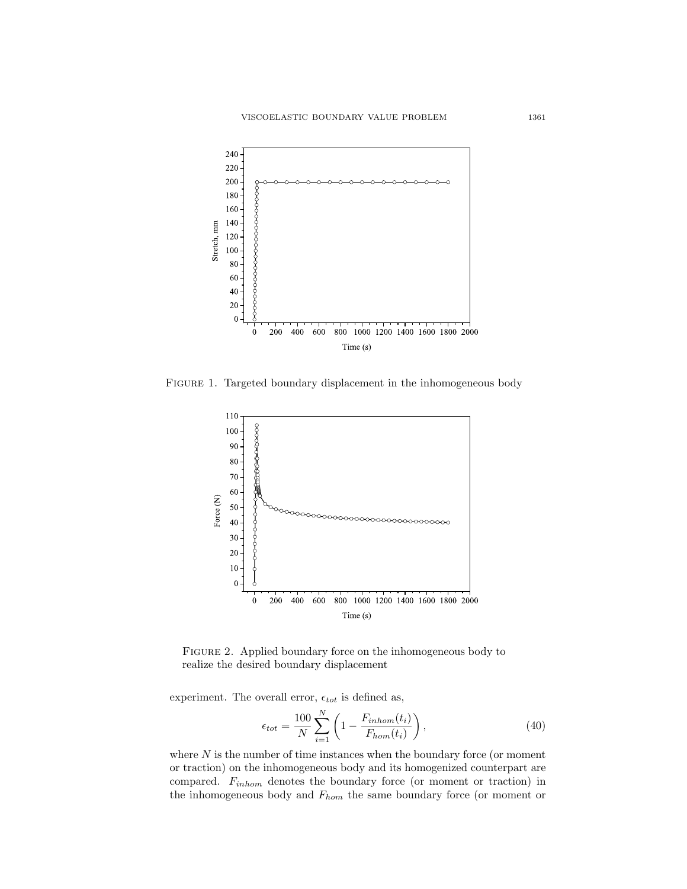<span id="page-10-0"></span>

<span id="page-10-1"></span>Figure 1. Targeted boundary displacement in the inhomogeneous body



Figure 2. Applied boundary force on the inhomogeneous body to realize the desired boundary displacement

experiment. The overall error,  $\epsilon_{tot}$  is defined as,

$$
\epsilon_{tot} = \frac{100}{N} \sum_{i=1}^{N} \left( 1 - \frac{F_{inhom}(t_i)}{F_{hom}(t_i)} \right),\tag{40}
$$

where  $N$  is the number of time instances when the boundary force (or moment or traction) on the inhomogeneous body and its homogenized counterpart are compared.  $F_{inhom}$  denotes the boundary force (or moment or traction) in the inhomogeneous body and  $F_{hom}$  the same boundary force (or moment or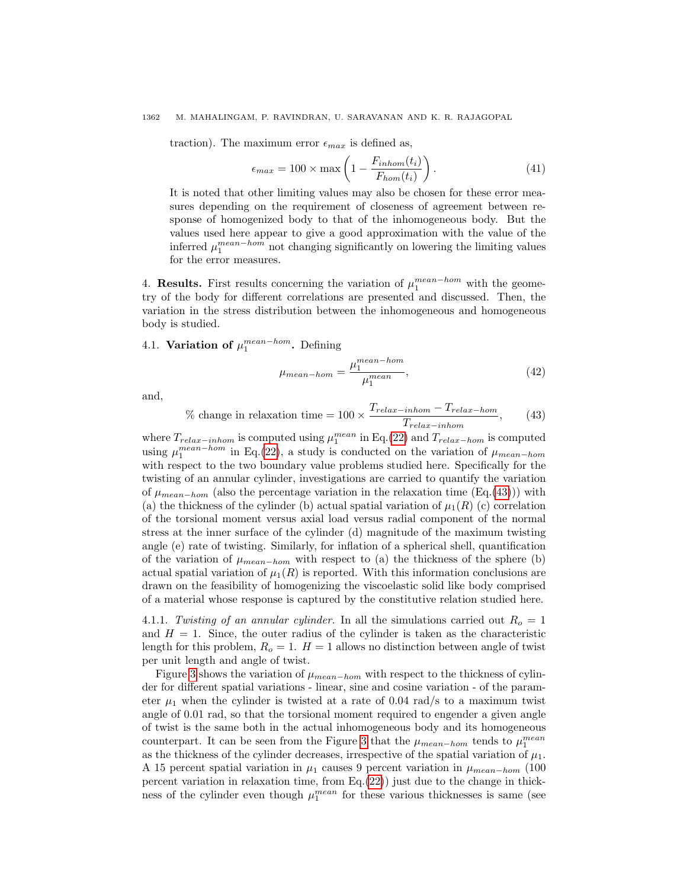# 1362 M. MAHALINGAM, P. RAVINDRAN, U. SARAVANAN AND K. R. RAJAGOPAL

traction). The maximum error  $\epsilon_{max}$  is defined as,

$$
\epsilon_{max} = 100 \times \max\left(1 - \frac{F_{inhom}(t_i)}{F_{hom}(t_i)}\right). \tag{41}
$$

It is noted that other limiting values may also be chosen for these error measures depending on the requirement of closeness of agreement between response of homogenized body to that of the inhomogeneous body. But the values used here appear to give a good approximation with the value of the inferred  $\mu_1^{mean-hom}$  not changing significantly on lowering the limiting values for the error measures.

<span id="page-11-0"></span>4. **Results.** First results concerning the variation of  $\mu_1^{mean-hom}$  with the geometry of the body for different correlations are presented and discussed. Then, the variation in the stress distribution between the inhomogeneous and homogeneous body is studied.

4.1. Variation of  $\mu_1^{mean-hom}$ . Defining

$$
\mu_{mean-hom} = \frac{\mu_1^{mean-hom}}{\mu_1^{mean}},\tag{42}
$$

and,

<span id="page-11-1"></span>
$$
\% \text{ change in relaxation time} = 100 \times \frac{T_{relax-inhom} - T_{relax-hom}}{T_{relax-inhom}},\tag{43}
$$

where  $T_{relax-inhom}$  is computed using  $\mu_1^{mean}$  in Eq.[\(22\)](#page-6-1) and  $T_{relax-hom}$  is computed using  $\mu_1^{mean-hom}$  in Eq.[\(22\)](#page-6-1), a study is conducted on the variation of  $\mu_{mean-hom}$ with respect to the two boundary value problems studied here. Specifically for the twisting of an annular cylinder, investigations are carried to quantify the variation of  $\mu_{mean-hom}$  (also the percentage variation in the relaxation time (Eq.[\(43\)](#page-11-1))) with (a) the thickness of the cylinder (b) actual spatial variation of  $\mu_1(R)$  (c) correlation of the torsional moment versus axial load versus radial component of the normal stress at the inner surface of the cylinder (d) magnitude of the maximum twisting angle (e) rate of twisting. Similarly, for inflation of a spherical shell, quantification of the variation of  $\mu_{mean-hom}$  with respect to (a) the thickness of the sphere (b) actual spatial variation of  $\mu_1(R)$  is reported. With this information conclusions are drawn on the feasibility of homogenizing the viscoelastic solid like body comprised of a material whose response is captured by the constitutive relation studied here.

4.1.1. Twisting of an annular cylinder. In all the simulations carried out  $R_o = 1$ and  $H = 1$ . Since, the outer radius of the cylinder is taken as the characteristic length for this problem,  $R_o = 1$ .  $H = 1$  allows no distinction between angle of twist per unit length and angle of twist.

Figure [3](#page-12-0) shows the variation of  $\mu_{mean-hom}$  with respect to the thickness of cylinder for different spatial variations - linear, sine and cosine variation - of the parameter  $\mu_1$  when the cylinder is twisted at a rate of 0.04 rad/s to a maximum twist angle of 0.01 rad, so that the torsional moment required to engender a given angle of twist is the same both in the actual inhomogeneous body and its homogeneous counterpart. It can be seen from the Figure [3](#page-12-0) that the  $\mu_{mean-hom}$  tends to  $\mu_1^{mean}$ as the thickness of the cylinder decreases, irrespective of the spatial variation of  $\mu_1$ . A 15 percent spatial variation in  $\mu_1$  causes 9 percent variation in  $\mu_{mean-hom}$  (100) percent variation in relaxation time, from  $Eq.(22)$  $Eq.(22)$ ) just due to the change in thickness of the cylinder even though  $\mu_1^{mean}$  for these various thicknesses is same (see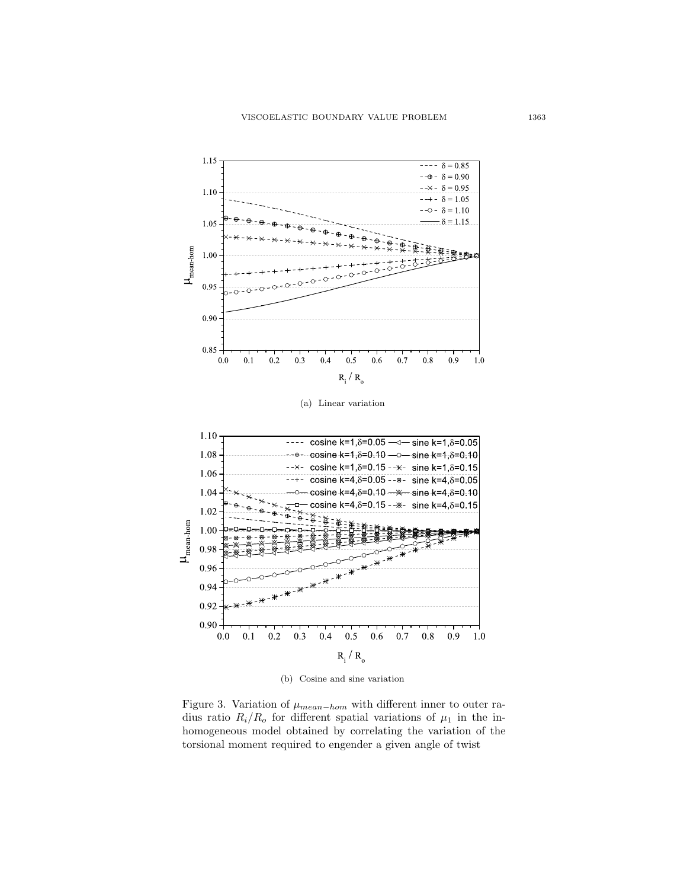<span id="page-12-2"></span><span id="page-12-1"></span><span id="page-12-0"></span>

(b) Cosine and sine variation

Figure 3. Variation of  $\mu_{mean-hom}$  with different inner to outer radius ratio  $R_i/R_o$  for different spatial variations of  $\mu_1$  in the inhomogeneous model obtained by correlating the variation of the torsional moment required to engender a given angle of twist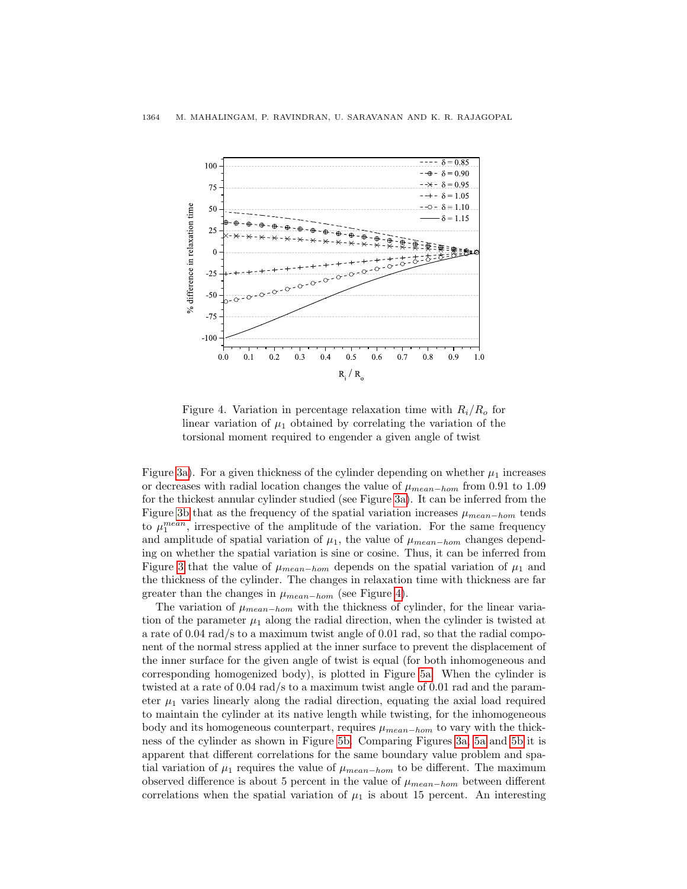<span id="page-13-0"></span>

Figure 4. Variation in percentage relaxation time with  $R_i/R_o$  for linear variation of  $\mu_1$  obtained by correlating the variation of the torsional moment required to engender a given angle of twist

Figure [3a\)](#page-12-1). For a given thickness of the cylinder depending on whether  $\mu_1$  increases or decreases with radial location changes the value of  $\mu_{mean-hom}$  from 0.91 to 1.09 for the thickest annular cylinder studied (see Figure [3a\)](#page-12-1). It can be inferred from the Figure [3b](#page-12-2) that as the frequency of the spatial variation increases  $\mu_{mean-hom}$  tends to  $\mu_1^{mean}$ , irrespective of the amplitude of the variation. For the same frequency and amplitude of spatial variation of  $\mu_1$ , the value of  $\mu_{mean-hom}$  changes depending on whether the spatial variation is sine or cosine. Thus, it can be inferred from Figure [3](#page-12-0) that the value of  $\mu_{mean-hom}$  depends on the spatial variation of  $\mu_1$  and the thickness of the cylinder. The changes in relaxation time with thickness are far greater than the changes in  $\mu_{mean-hom}$  (see Figure [4\)](#page-13-0).

The variation of  $\mu_{mean-bom}$  with the thickness of cylinder, for the linear variation of the parameter  $\mu_1$  along the radial direction, when the cylinder is twisted at a rate of 0.04 rad/s to a maximum twist angle of 0.01 rad, so that the radial component of the normal stress applied at the inner surface to prevent the displacement of the inner surface for the given angle of twist is equal (for both inhomogeneous and corresponding homogenized body), is plotted in Figure [5a.](#page-14-0) When the cylinder is twisted at a rate of 0.04 rad/s to a maximum twist angle of 0.01 rad and the parameter  $\mu_1$  varies linearly along the radial direction, equating the axial load required to maintain the cylinder at its native length while twisting, for the inhomogeneous body and its homogeneous counterpart, requires  $\mu_{mean-hom}$  to vary with the thickness of the cylinder as shown in Figure [5b.](#page-14-1) Comparing Figures [3a,](#page-12-1) [5a](#page-14-0) and [5b](#page-14-1) it is apparent that different correlations for the same boundary value problem and spatial variation of  $\mu_1$  requires the value of  $\mu_{mean-hom}$  to be different. The maximum observed difference is about 5 percent in the value of  $\mu_{mean-hom}$  between different correlations when the spatial variation of  $\mu_1$  is about 15 percent. An interesting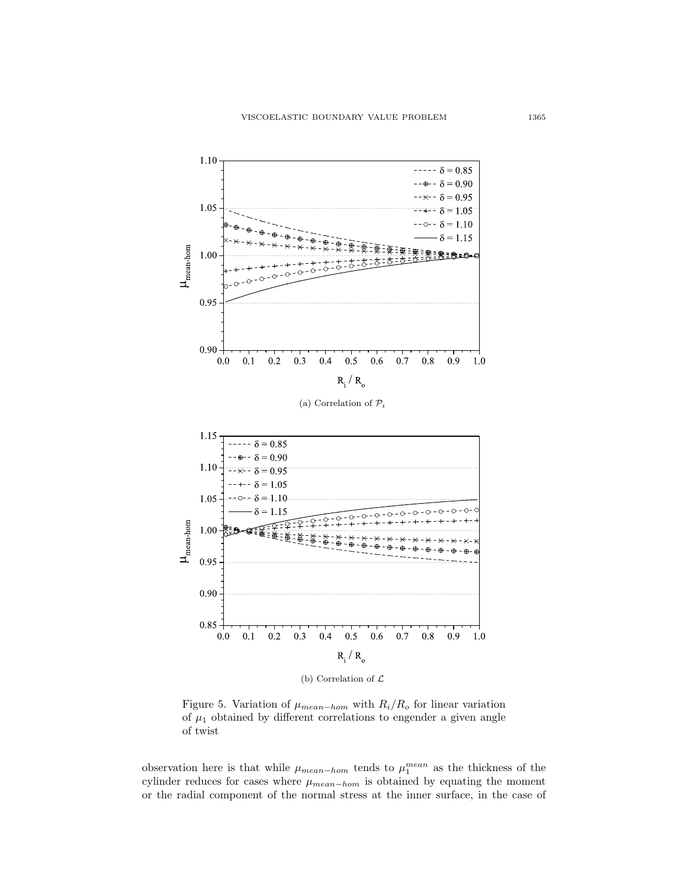<span id="page-14-2"></span><span id="page-14-1"></span><span id="page-14-0"></span>

(b) Correlation of  $\mathcal L$ 

Figure 5. Variation of  $\mu_{mean-hom}$  with  $R_i/R_o$  for linear variation of  $\mu_1$  obtained by different correlations to engender a given angle of twist

observation here is that while  $\mu_{mean-hom}$  tends to  $\mu_1^{mean}$  as the thickness of the cylinder reduces for cases where  $\mu_{mean-hom}$  is obtained by equating the moment or the radial component of the normal stress at the inner surface, in the case of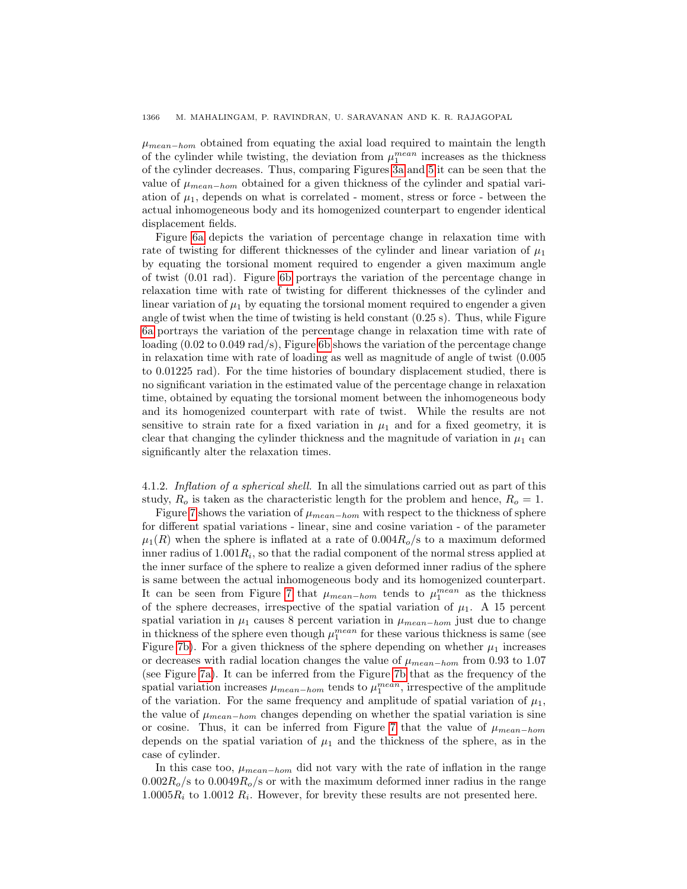$\mu_{mean-hom}$  obtained from equating the axial load required to maintain the length of the cylinder while twisting, the deviation from  $\mu_1^{mean}$  increases as the thickness of the cylinder decreases. Thus, comparing Figures [3a](#page-12-1) and [5](#page-14-2) it can be seen that the value of  $\mu_{mean-hom}$  obtained for a given thickness of the cylinder and spatial variation of  $\mu_1$ , depends on what is correlated - moment, stress or force - between the actual inhomogeneous body and its homogenized counterpart to engender identical displacement fields.

Figure [6a](#page-16-0) depicts the variation of percentage change in relaxation time with rate of twisting for different thicknesses of the cylinder and linear variation of  $\mu_1$ by equating the torsional moment required to engender a given maximum angle of twist (0.01 rad). Figure [6b](#page-16-1) portrays the variation of the percentage change in relaxation time with rate of twisting for different thicknesses of the cylinder and linear variation of  $\mu_1$  by equating the torsional moment required to engender a given angle of twist when the time of twisting is held constant (0.25 s). Thus, while Figure [6a](#page-16-0) portrays the variation of the percentage change in relaxation time with rate of loading (0.02 to 0.049 rad/s), Figure [6b](#page-16-1) shows the variation of the percentage change in relaxation time with rate of loading as well as magnitude of angle of twist (0.005 to 0.01225 rad). For the time histories of boundary displacement studied, there is no significant variation in the estimated value of the percentage change in relaxation time, obtained by equating the torsional moment between the inhomogeneous body and its homogenized counterpart with rate of twist. While the results are not sensitive to strain rate for a fixed variation in  $\mu_1$  and for a fixed geometry, it is clear that changing the cylinder thickness and the magnitude of variation in  $\mu_1$  can significantly alter the relaxation times.

4.1.2. Inflation of a spherical shell. In all the simulations carried out as part of this study,  $R_o$  is taken as the characteristic length for the problem and hence,  $R_o = 1$ .

Figure [7](#page-17-0) shows the variation of  $\mu_{mean-hom}$  with respect to the thickness of sphere for different spatial variations - linear, sine and cosine variation - of the parameter  $\mu_1(R)$  when the sphere is inflated at a rate of  $0.004R_o/s$  to a maximum deformed inner radius of  $1.001R_i$ , so that the radial component of the normal stress applied at the inner surface of the sphere to realize a given deformed inner radius of the sphere is same between the actual inhomogeneous body and its homogenized counterpart. It can be seen from Figure [7](#page-17-0) that  $\mu_{mean-hom}$  tends to  $\mu_1^{mean}$  as the thickness of the sphere decreases, irrespective of the spatial variation of  $\mu_1$ . A 15 percent spatial variation in  $\mu_1$  causes 8 percent variation in  $\mu_{mean-hom}$  just due to change in thickness of the sphere even though  $\mu_1^{mean}$  for these various thickness is same (see Figure [7b\)](#page-17-1). For a given thickness of the sphere depending on whether  $\mu_1$  increases or decreases with radial location changes the value of  $\mu_{mean-hom}$  from 0.93 to 1.07 (see Figure [7a\)](#page-17-2). It can be inferred from the Figure [7b](#page-17-1) that as the frequency of the spatial variation increases  $\mu_{mean-hom}$  tends to  $\mu_1^{mean}$ , irrespective of the amplitude of the variation. For the same frequency and amplitude of spatial variation of  $\mu_1$ , the value of  $\mu_{mean-hom}$  changes depending on whether the spatial variation is sine or cosine. Thus, it can be inferred from Figure [7](#page-17-0) that the value of  $\mu_{mean-hom}$ depends on the spatial variation of  $\mu_1$  and the thickness of the sphere, as in the case of cylinder.

In this case too,  $\mu_{mean-hom}$  did not vary with the rate of inflation in the range  $0.002R_o$  to  $0.0049R_o$  s or with the maximum deformed inner radius in the range  $1.0005R_i$  to  $1.0012 R_i$ . However, for brevity these results are not presented here.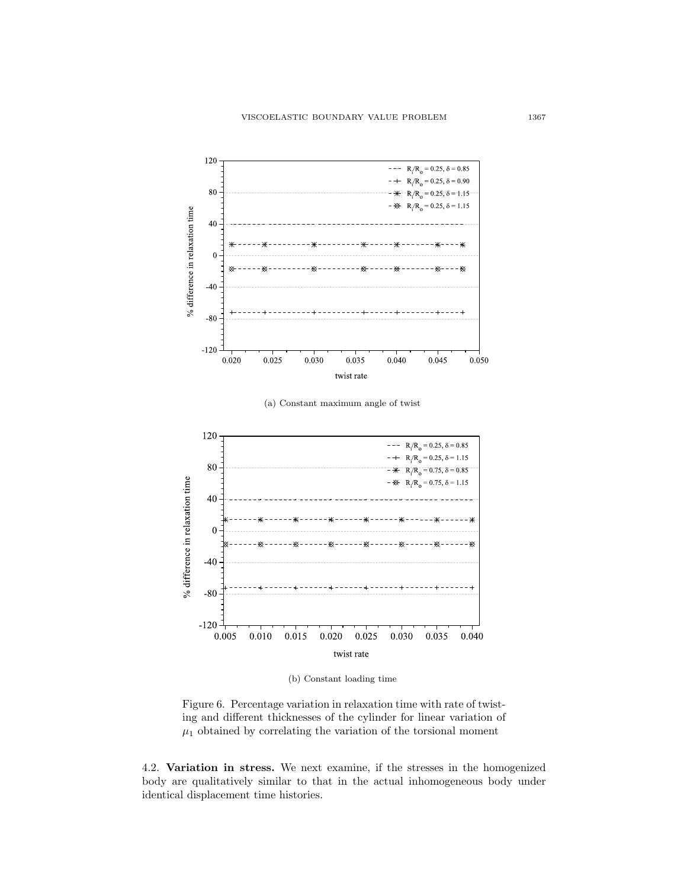<span id="page-16-1"></span><span id="page-16-0"></span>

(b) Constant loading time

Figure 6. Percentage variation in relaxation time with rate of twisting and different thicknesses of the cylinder for linear variation of  $\mu_1$  obtained by correlating the variation of the torsional moment

4.2. Variation in stress. We next examine, if the stresses in the homogenized body are qualitatively similar to that in the actual inhomogeneous body under identical displacement time histories.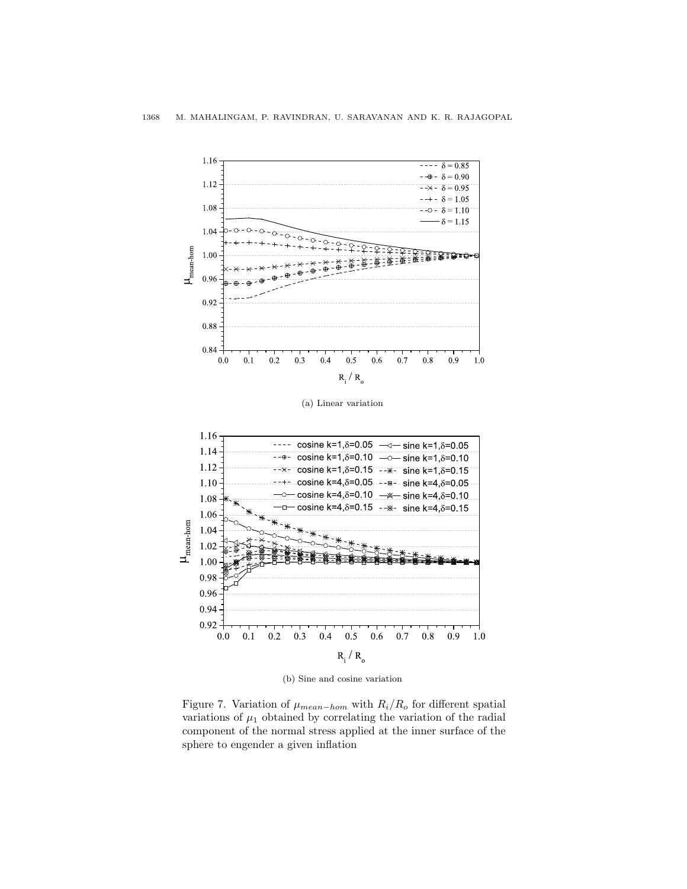<span id="page-17-2"></span><span id="page-17-0"></span>

<span id="page-17-1"></span>

(b) Sine and cosine variation

Figure 7. Variation of  $\mu_{mean-hom}$  with  $R_i/R_o$  for different spatial variations of  $\mu_1$  obtained by correlating the variation of the radial component of the normal stress applied at the inner surface of the sphere to engender a given inflation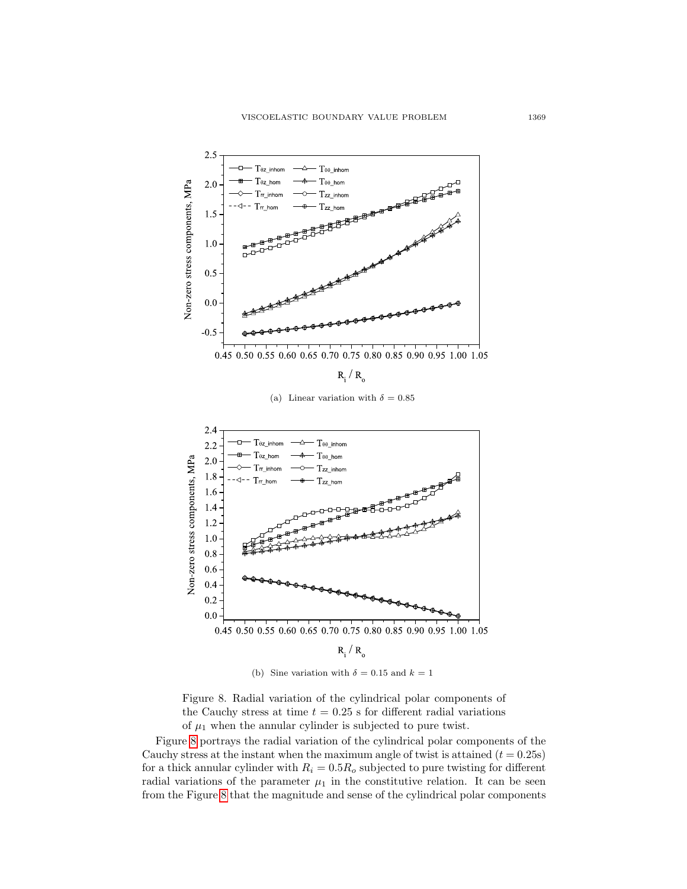<span id="page-18-0"></span>

(a) Linear variation with  $\delta = 0.85$ 



(b) Sine variation with  $\delta = 0.15$  and  $k = 1$ 

Figure 8. Radial variation of the cylindrical polar components of the Cauchy stress at time  $t = 0.25$  s for different radial variations of  $\mu_1$  when the annular cylinder is subjected to pure twist.

Figure [8](#page-18-0) portrays the radial variation of the cylindrical polar components of the Cauchy stress at the instant when the maximum angle of twist is attained  $(t = 0.25s)$ for a thick annular cylinder with  $R_i = 0.5R_o$  subjected to pure twisting for different radial variations of the parameter  $\mu_1$  in the constitutive relation. It can be seen from the Figure [8](#page-18-0) that the magnitude and sense of the cylindrical polar components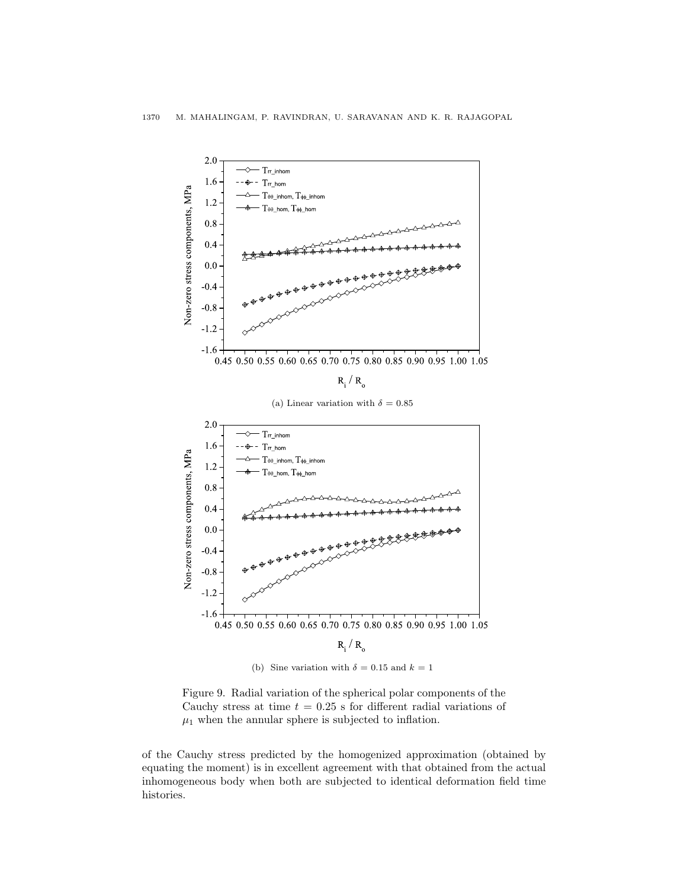<span id="page-19-0"></span>

Figure 9. Radial variation of the spherical polar components of the Cauchy stress at time  $t = 0.25$  s for different radial variations of  $\mu_1$  when the annular sphere is subjected to inflation.

of the Cauchy stress predicted by the homogenized approximation (obtained by equating the moment) is in excellent agreement with that obtained from the actual inhomogeneous body when both are subjected to identical deformation field time histories.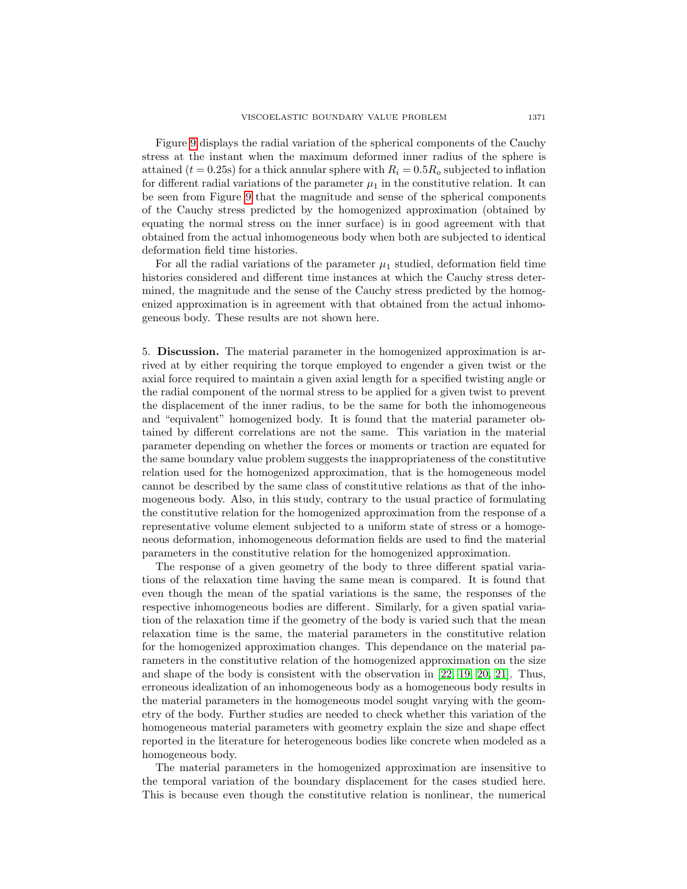Figure [9](#page-19-0) displays the radial variation of the spherical components of the Cauchy stress at the instant when the maximum deformed inner radius of the sphere is attained ( $t = 0.25$ s) for a thick annular sphere with  $R_i = 0.5R_o$  subjected to inflation for different radial variations of the parameter  $\mu_1$  in the constitutive relation. It can be seen from Figure [9](#page-19-0) that the magnitude and sense of the spherical components of the Cauchy stress predicted by the homogenized approximation (obtained by equating the normal stress on the inner surface) is in good agreement with that obtained from the actual inhomogeneous body when both are subjected to identical deformation field time histories.

For all the radial variations of the parameter  $\mu_1$  studied, deformation field time histories considered and different time instances at which the Cauchy stress determined, the magnitude and the sense of the Cauchy stress predicted by the homogenized approximation is in agreement with that obtained from the actual inhomogeneous body. These results are not shown here.

<span id="page-20-0"></span>5. Discussion. The material parameter in the homogenized approximation is arrived at by either requiring the torque employed to engender a given twist or the axial force required to maintain a given axial length for a specified twisting angle or the radial component of the normal stress to be applied for a given twist to prevent the displacement of the inner radius, to be the same for both the inhomogeneous and "equivalent" homogenized body. It is found that the material parameter obtained by different correlations are not the same. This variation in the material parameter depending on whether the forces or moments or traction are equated for the same boundary value problem suggests the inappropriateness of the constitutive relation used for the homogenized approximation, that is the homogeneous model cannot be described by the same class of constitutive relations as that of the inhomogeneous body. Also, in this study, contrary to the usual practice of formulating the constitutive relation for the homogenized approximation from the response of a representative volume element subjected to a uniform state of stress or a homogeneous deformation, inhomogeneous deformation fields are used to find the material parameters in the constitutive relation for the homogenized approximation.

The response of a given geometry of the body to three different spatial variations of the relaxation time having the same mean is compared. It is found that even though the mean of the spatial variations is the same, the responses of the respective inhomogeneous bodies are different. Similarly, for a given spatial variation of the relaxation time if the geometry of the body is varied such that the mean relaxation time is the same, the material parameters in the constitutive relation for the homogenized approximation changes. This dependance on the material parameters in the constitutive relation of the homogenized approximation on the size and shape of the body is consistent with the observation in [\[22,](#page-22-11) [19,](#page-22-12) [20,](#page-22-3) [21\]](#page-22-13). Thus, erroneous idealization of an inhomogeneous body as a homogeneous body results in the material parameters in the homogeneous model sought varying with the geometry of the body. Further studies are needed to check whether this variation of the homogeneous material parameters with geometry explain the size and shape effect reported in the literature for heterogeneous bodies like concrete when modeled as a homogeneous body.

The material parameters in the homogenized approximation are insensitive to the temporal variation of the boundary displacement for the cases studied here. This is because even though the constitutive relation is nonlinear, the numerical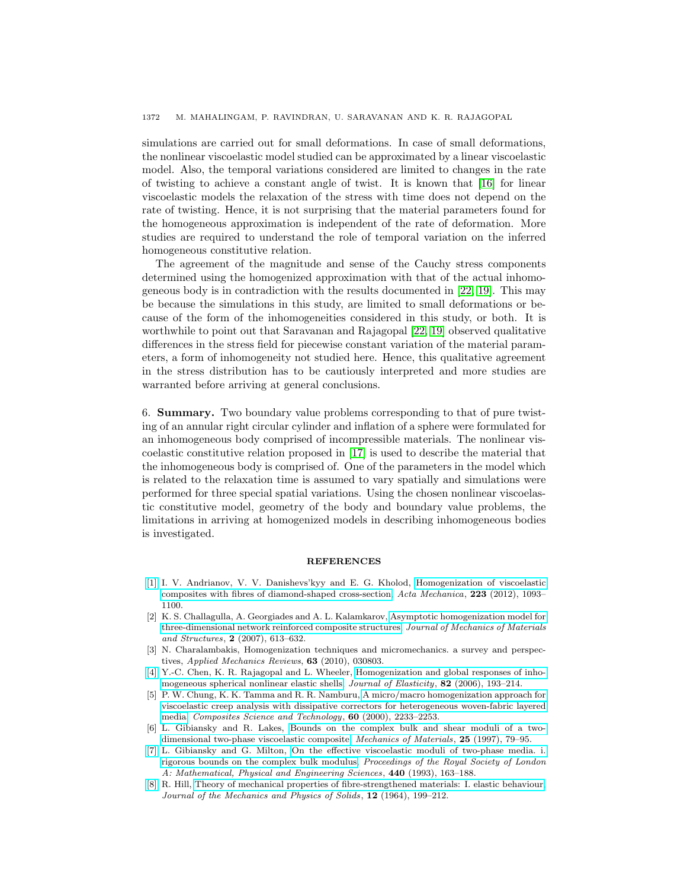simulations are carried out for small deformations. In case of small deformations, the nonlinear viscoelastic model studied can be approximated by a linear viscoelastic model. Also, the temporal variations considered are limited to changes in the rate of twisting to achieve a constant angle of twist. It is known that [\[16\]](#page-22-17) for linear viscoelastic models the relaxation of the stress with time does not depend on the rate of twisting. Hence, it is not surprising that the material parameters found for the homogeneous approximation is independent of the rate of deformation. More studies are required to understand the role of temporal variation on the inferred homogeneous constitutive relation.

The agreement of the magnitude and sense of the Cauchy stress components determined using the homogenized approximation with that of the actual inhomogeneous body is in contradiction with the results documented in [\[22,](#page-22-11) [19\]](#page-22-12). This may be because the simulations in this study, are limited to small deformations or because of the form of the inhomogeneities considered in this study, or both. It is worthwhile to point out that Saravanan and Rajagopal [\[22,](#page-22-11) [19\]](#page-22-12) observed qualitative differences in the stress field for piecewise constant variation of the material parameters, a form of inhomogeneity not studied here. Hence, this qualitative agreement in the stress distribution has to be cautiously interpreted and more studies are warranted before arriving at general conclusions.

6. Summary. Two boundary value problems corresponding to that of pure twisting of an annular right circular cylinder and inflation of a sphere were formulated for an inhomogeneous body comprised of incompressible materials. The nonlinear viscoelastic constitutive relation proposed in [\[17\]](#page-22-0) is used to describe the material that the inhomogeneous body is comprised of. One of the parameters in the model which is related to the relaxation time is assumed to vary spatially and simulations were performed for three special spatial variations. Using the chosen nonlinear viscoelastic constitutive model, geometry of the body and boundary value problems, the limitations in arriving at homogenized models in describing inhomogeneous bodies is investigated.

### **REFERENCES**

- <span id="page-21-3"></span>[\[1\]](http://www.ams.org/mathscinet-getitem?mr=MR2922249&return=pdf) I. V. Andrianov, V. V. Danishevs'kyy and E. G. Kholod, [Homogenization of viscoelastic](http://dx.doi.org/10.1007/s00707-011-0608-6) [composites with fibres of diamond-shaped cross-section,](http://dx.doi.org/10.1007/s00707-011-0608-6) Acta Mechanica, 223 (2012), 1093– 1100.
- <span id="page-21-1"></span>[2] K. S. Challagulla, A. Georgiades and A. L. Kalamkarov, [Asymptotic homogenization model for](http://dx.doi.org/10.2140/jomms.2007.2.613) [three-dimensional network reinforced composite structures,](http://dx.doi.org/10.2140/jomms.2007.2.613) Journal of Mechanics of Materials and Structures, 2 (2007), 613–632.
- <span id="page-21-0"></span>[3] N. Charalambakis, Homogenization techniques and micromechanics. a survey and perspectives, Applied Mechanics Reviews, 63 (2010), 030803.
- <span id="page-21-4"></span>[\[4\]](http://www.ams.org/mathscinet-getitem?mr=MR2231062&return=pdf) Y.-C. Chen, K. R. Rajagopal and L. Wheeler, [Homogenization and global responses of inho](http://dx.doi.org/10.1007/s10659-005-9031-3)[mogeneous spherical nonlinear elastic shells,](http://dx.doi.org/10.1007/s10659-005-9031-3) Journal of Elasticity, 82 (2006), 193-214.
- <span id="page-21-2"></span>[5] P. W. Chung, K. K. Tamma and R. R. Namburu, [A micro/macro homogenization approach for](http://dx.doi.org/10.1016/S0266-3538(00)00018-X) [viscoelastic creep analysis with dissipative correctors for heterogeneous woven-fabric layered](http://dx.doi.org/10.1016/S0266-3538(00)00018-X) [media,](http://dx.doi.org/10.1016/S0266-3538(00)00018-X) Composites Science and Technology, 60 (2000), 2233–2253.
- <span id="page-21-6"></span>[6] L. Gibiansky and R. Lakes, [Bounds on the complex bulk and shear moduli of a two](http://dx.doi.org/10.1016/S0167-6636(96)00046-4)[dimensional two-phase viscoelastic composite,](http://dx.doi.org/10.1016/S0167-6636(96)00046-4) Mechanics of Materials, 25 (1997), 79–95.
- <span id="page-21-5"></span>[\[7\]](http://www.ams.org/mathscinet-getitem?mr=MR1232831&return=pdf) L. Gibiansky and G. Milton, [On the effective viscoelastic moduli of two-phase media. i.](http://dx.doi.org/10.1098/rspa.1993.0010) [rigorous bounds on the complex bulk modulus,](http://dx.doi.org/10.1098/rspa.1993.0010) Proceedings of the Royal Society of London A: Mathematical, Physical and Engineering Sciences, 440 (1993), 163–188.
- <span id="page-21-7"></span>[\[8\]](http://www.ams.org/mathscinet-getitem?mr=MR0176652&return=pdf) R. Hill, [Theory of mechanical properties of fibre-strengthened materials: I. elastic behaviour,](http://dx.doi.org/10.1016/0022-5096(64)90019-5) Journal of the Mechanics and Physics of Solids, 12 (1964), 199–212.